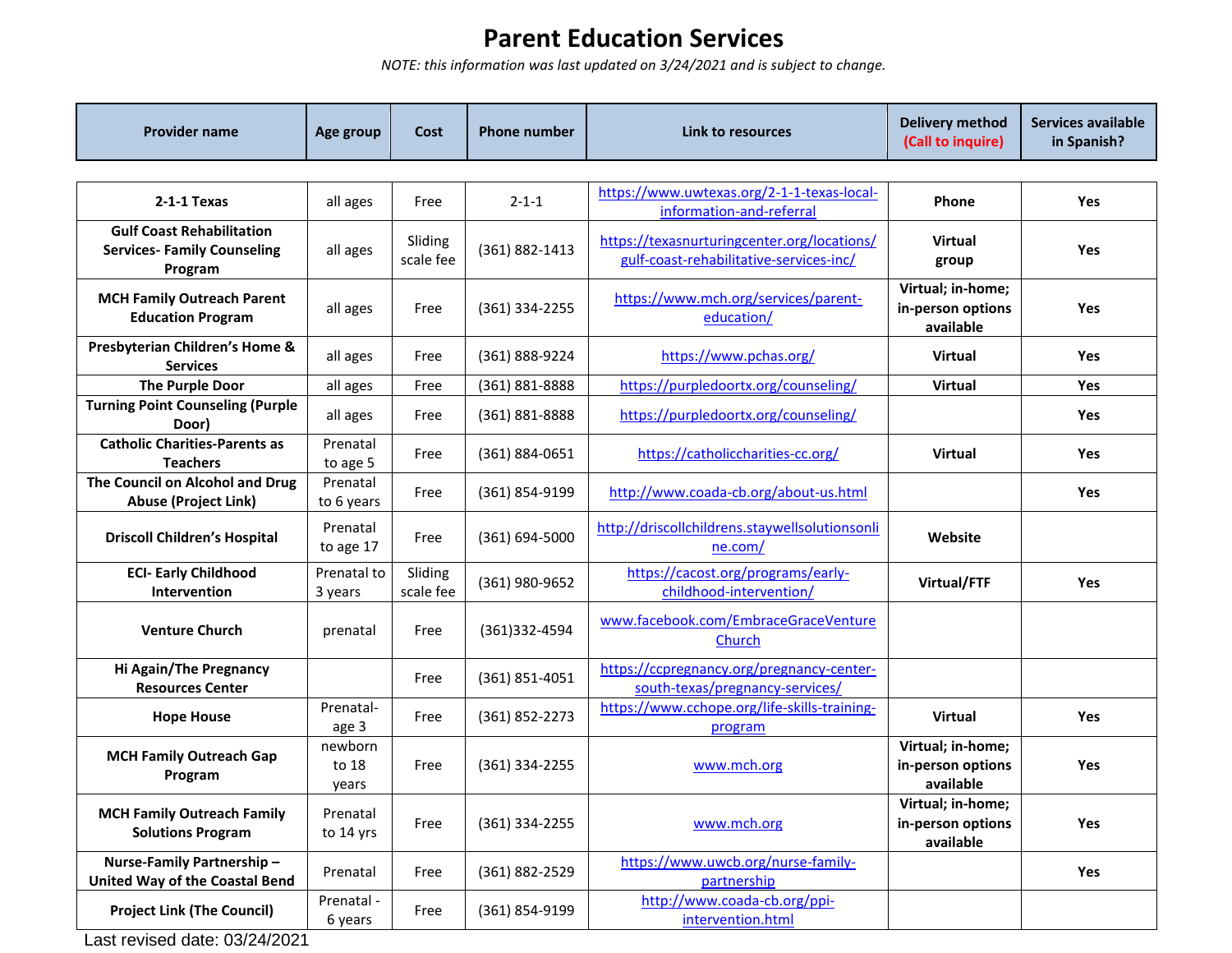## **Parent Education Services**

*NOTE: this information was last updated on 3/24/2021 and is subject to change.*

| <b>Provider name</b>                                                              | Age group                 | Cost                 | <b>Phone number</b> | Link to resources                                                                      | <b>Delivery method</b><br>(Call to inquire)         | Services available<br>in Spanish? |
|-----------------------------------------------------------------------------------|---------------------------|----------------------|---------------------|----------------------------------------------------------------------------------------|-----------------------------------------------------|-----------------------------------|
|                                                                                   |                           |                      |                     |                                                                                        |                                                     |                                   |
| 2-1-1 Texas                                                                       | all ages                  | Free                 | $2 - 1 - 1$         | https://www.uwtexas.org/2-1-1-texas-local-<br>information-and-referral                 | <b>Phone</b>                                        | <b>Yes</b>                        |
| <b>Gulf Coast Rehabilitation</b><br><b>Services- Family Counseling</b><br>Program | all ages                  | Sliding<br>scale fee | (361) 882-1413      | https://texasnurturingcenter.org/locations/<br>gulf-coast-rehabilitative-services-inc/ | <b>Virtual</b><br>group                             | Yes                               |
| <b>MCH Family Outreach Parent</b><br><b>Education Program</b>                     | all ages                  | Free                 | (361) 334-2255      | https://www.mch.org/services/parent-<br>education/                                     | Virtual; in-home;<br>in-person options<br>available | Yes                               |
| Presbyterian Children's Home &<br><b>Services</b>                                 | all ages                  | Free                 | (361) 888-9224      | https://www.pchas.org/                                                                 | <b>Virtual</b>                                      | Yes                               |
| <b>The Purple Door</b>                                                            | all ages                  | Free                 | (361) 881-8888      | https://purpledoortx.org/counseling/                                                   | Virtual                                             | Yes                               |
| <b>Turning Point Counseling (Purple</b><br>Door)                                  | all ages                  | Free                 | (361) 881-8888      | https://purpledoortx.org/counseling/                                                   |                                                     | <b>Yes</b>                        |
| <b>Catholic Charities-Parents as</b><br><b>Teachers</b>                           | Prenatal<br>to age 5      | Free                 | (361) 884-0651      | https://catholiccharities-cc.org/                                                      | <b>Virtual</b>                                      | <b>Yes</b>                        |
| The Council on Alcohol and Drug<br><b>Abuse (Project Link)</b>                    | Prenatal<br>to 6 years    | Free                 | (361) 854-9199      | http://www.coada-cb.org/about-us.html                                                  |                                                     | Yes                               |
| <b>Driscoll Children's Hospital</b>                                               | Prenatal<br>to age 17     | Free                 | (361) 694-5000      | http://driscollchildrens.staywellsolutionsonli<br>ne.com/                              | Website                                             |                                   |
| <b>ECI- Early Childhood</b><br><b>Intervention</b>                                | Prenatal to<br>3 years    | Sliding<br>scale fee | (361) 980-9652      | https://cacost.org/programs/early-<br>childhood-intervention/                          | Virtual/FTF                                         | <b>Yes</b>                        |
| <b>Venture Church</b>                                                             | prenatal                  | Free                 | (361)332-4594       | www.facebook.com/EmbraceGraceVenture<br>Church                                         |                                                     |                                   |
| Hi Again/The Pregnancy<br><b>Resources Center</b>                                 |                           | Free                 | (361) 851-4051      | https://ccpregnancy.org/pregnancy-center-<br>south-texas/pregnancy-services/           |                                                     |                                   |
| <b>Hope House</b>                                                                 | Prenatal-<br>age 3        | Free                 | (361) 852-2273      | https://www.cchope.org/life-skills-training-<br>program                                | <b>Virtual</b>                                      | Yes                               |
| <b>MCH Family Outreach Gap</b><br>Program                                         | newborn<br>to 18<br>years | Free                 | $(361)$ 334-2255    | www.mch.org                                                                            | Virtual; in-home;<br>in-person options<br>available | Yes                               |
| <b>MCH Family Outreach Family</b><br><b>Solutions Program</b>                     | Prenatal<br>to 14 yrs     | Free                 | (361) 334-2255      | www.mch.org                                                                            | Virtual; in-home;<br>in-person options<br>available | Yes                               |
| Nurse-Family Partnership-<br><b>United Way of the Coastal Bend</b>                | Prenatal                  | Free                 | (361) 882-2529      | https://www.uwcb.org/nurse-family-<br>partnership                                      |                                                     | Yes                               |
| <b>Project Link (The Council)</b>                                                 | Prenatal -<br>6 years     | Free                 | (361) 854-9199      | http://www.coada-cb.org/ppi-<br>intervention.html                                      |                                                     |                                   |

Last revised date: 03/24/2021